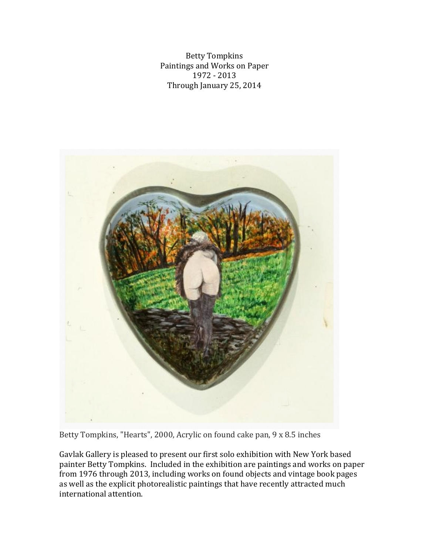Betty Tompkins Paintings and Works on Paper 1972 - 2013 Through January 25, 2014



Betty Tompkins, "Hearts", 2000, Acrylic on found cake pan, 9 x 8.5 inches

Gavlak Gallery is pleased to present our first solo exhibition with New York based painter Betty Tompkins. Included in the exhibition are paintings and works on paper from 1976 through 2013, including works on found objects and vintage book pages as well as the explicit photorealistic paintings that have recently attracted much international attention.